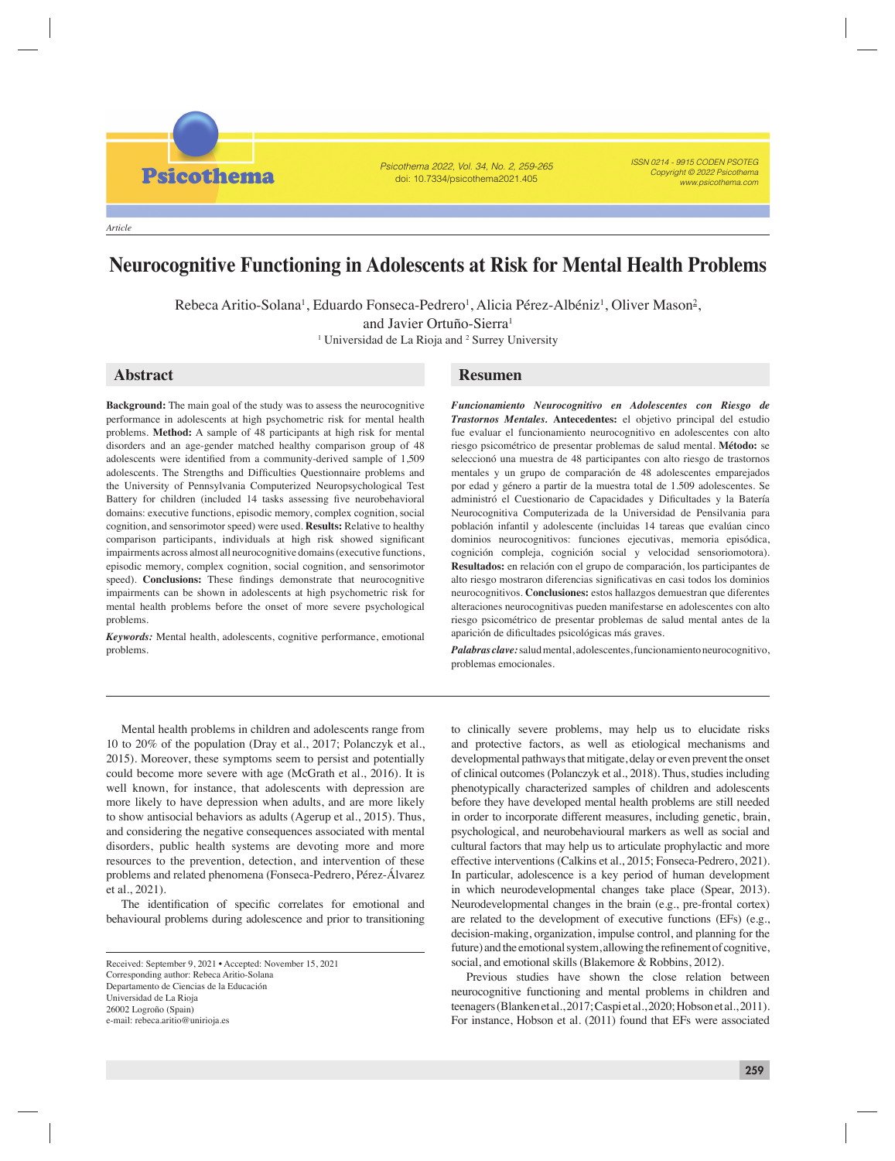*Article*

**Psicothema** 

# **Neurocognitive Functioning in Adolescents at Risk for Mental Health Problems**

Psicothema 2022, Vol. 34, No. 2, 259-265 doi: 10.7334/psicothema2021.405

Rebeca Aritio-Solana<sup>1</sup>, Eduardo Fonseca-Pedrero<sup>1</sup>, Alicia Pérez-Albéniz<sup>1</sup>, Oliver Mason<sup>2</sup>,

and Javier Ortuño-Sierra<sup>1</sup>

<sup>1</sup> Universidad de La Rioja and <sup>2</sup> Surrey University

**Background:** The main goal of the study was to assess the neurocognitive performance in adolescents at high psychometric risk for mental health problems. **Method:** A sample of 48 participants at high risk for mental disorders and an age-gender matched healthy comparison group of 48 adolescents were identified from a community-derived sample of 1,509 adolescents. The Strengths and Difficulties Questionnaire problems and the University of Pennsylvania Computerized Neuropsychological Test Battery for children (included 14 tasks assessing five neurobehavioral domains: executive functions, episodic memory, complex cognition, social cognition, and sensorimotor speed) were used. **Results:** Relative to healthy comparison participants, individuals at high risk showed significant impairments across almost all neurocognitive domains (executive functions, episodic memory, complex cognition, social cognition, and sensorimotor speed). **Conclusions:** These findings demonstrate that neurocognitive impairments can be shown in adolescents at high psychometric risk for mental health problems before the onset of more severe psychological problems.

*Keywords:* Mental health, adolescents, cognitive performance, emotional problems.

# **Abstract Resumen**

*Funcionamiento Neurocognitivo en Adolescentes con Riesgo de Trastornos Mentales.* **Antecedentes:** el objetivo principal del estudio fue evaluar el funcionamiento neurocognitivo en adolescentes con alto riesgo psicométrico de presentar problemas de salud mental. **Método:** se seleccionó una muestra de 48 participantes con alto riesgo de trastornos mentales y un grupo de comparación de 48 adolescentes emparejados por edad y género a partir de la muestra total de 1.509 adolescentes. Se administró el Cuestionario de Capacidades y Dificultades y la Batería Neurocognitiva Computerizada de la Universidad de Pensilvania para población infantil y adolescente (incluidas 14 tareas que evalúan cinco dominios neurocognitivos: funciones ejecutivas, memoria episódica, cognición compleja, cognición social y velocidad sensoriomotora). **Resultados:** en relación con el grupo de comparación, los participantes de alto riesgo mostraron diferencias significativas en casi todos los dominios neurocognitivos. **Conclusiones:** estos hallazgos demuestran que diferentes alteraciones neurocognitivas pueden manifestarse en adolescentes con alto riesgo psicométrico de presentar problemas de salud mental antes de la aparición de dificultades psicológicas más graves.

ISSN 0214 - 9915 CODEN PSOTEG Copyright © 2022 Psicothema www.psicothema.com

*Palabras clave:* salud mental, adolescentes, funcionamiento neurocognitivo, problemas emocionales.

Mental health problems in children and adolescents range from 10 to 20% of the population (Dray et al., 2017; Polanczyk et al., 2015). Moreover, these symptoms seem to persist and potentially could become more severe with age (McGrath et al., 2016). It is well known, for instance, that adolescents with depression are more likely to have depression when adults, and are more likely to show antisocial behaviors as adults (Agerup et al., 2015). Thus, and considering the negative consequences associated with mental disorders, public health systems are devoting more and more resources to the prevention, detection, and intervention of these problems and related phenomena (Fonseca-Pedrero, Pérez-Álvarez et al., 2021).

The identification of specific correlates for emotional and behavioural problems during adolescence and prior to transitioning

to clinically severe problems, may help us to elucidate risks and protective factors, as well as etiological mechanisms and developmental pathways that mitigate, delay or even prevent the onset of clinical outcomes (Polanczyk et al., 2018). Thus, studies including phenotypically characterized samples of children and adolescents before they have developed mental health problems are still needed in order to incorporate different measures, including genetic, brain, psychological, and neurobehavioural markers as well as social and cultural factors that may help us to articulate prophylactic and more effective interventions (Calkins et al., 2015; Fonseca-Pedrero, 2021). In particular, adolescence is a key period of human development in which neurodevelopmental changes take place (Spear, 2013). Neurodevelopmental changes in the brain (e.g., pre-frontal cortex) are related to the development of executive functions (EFs) (e.g., decision-making, organization, impulse control, and planning for the future) and the emotional system, allowing the refinement of cognitive, social, and emotional skills (Blakemore & Robbins, 2012).

Previous studies have shown the close relation between neurocognitive functioning and mental problems in children and teenagers (Blanken et al., 2017; Caspi et al., 2020; Hobson et al., 2011). For instance, Hobson et al. (2011) found that EFs were associated

Received: September 9, 2021 • Accepted: November 15, 2021 Corresponding author: Rebeca Aritio-Solana Departamento de Ciencias de la Educación Universidad de La Rioja 26002 Logroño (Spain) e-mail: rebeca.aritio@unirioja.es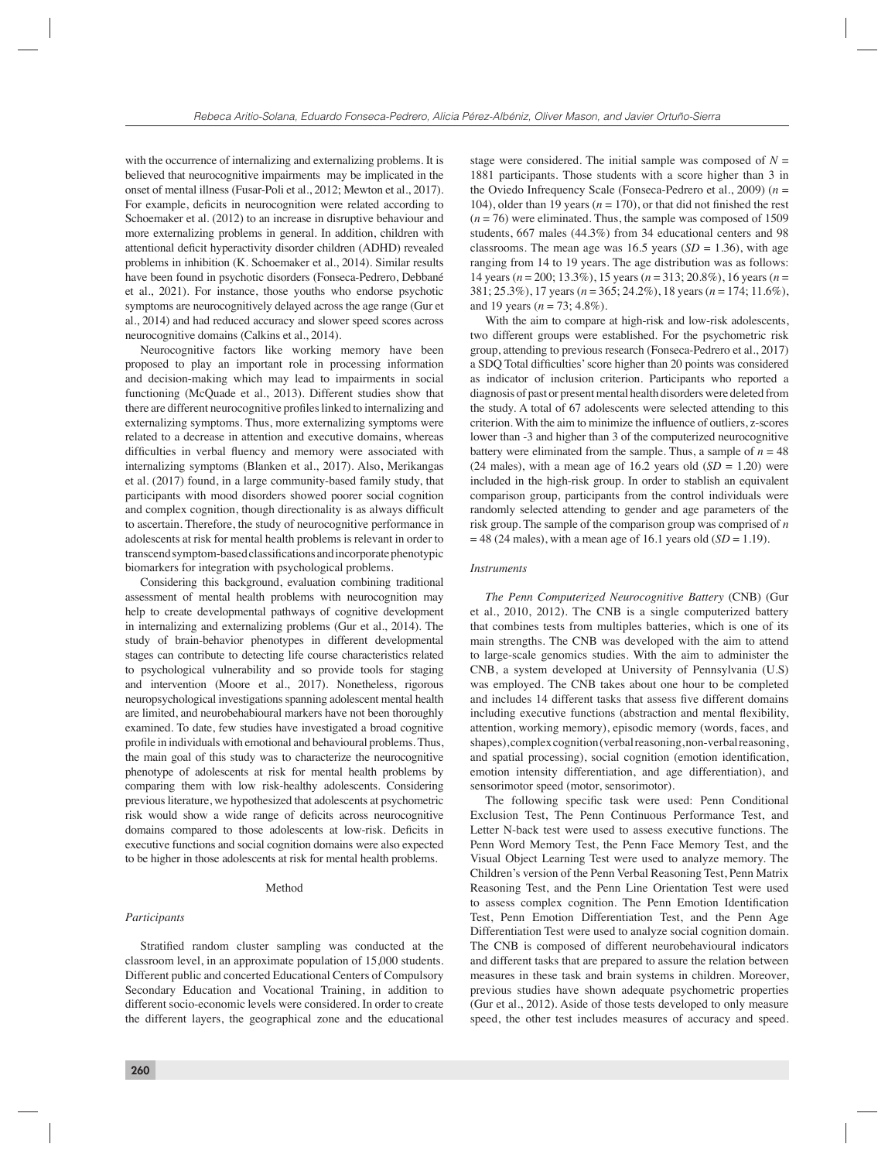with the occurrence of internalizing and externalizing problems. It is believed that neurocognitive impairments may be implicated in the onset of mental illness (Fusar-Poli et al., 2012; Mewton et al., 2017). For example, deficits in neurocognition were related according to Schoemaker et al. (2012) to an increase in disruptive behaviour and more externalizing problems in general. In addition, children with attentional deficit hyperactivity disorder children (ADHD) revealed problems in inhibition (K. Schoemaker et al., 2014). Similar results have been found in psychotic disorders (Fonseca-Pedrero, Debbané et al., 2021). For instance, those youths who endorse psychotic symptoms are neurocognitively delayed across the age range (Gur et al., 2014) and had reduced accuracy and slower speed scores across neurocognitive domains (Calkins et al., 2014).

Neurocognitive factors like working memory have been proposed to play an important role in processing information and decision-making which may lead to impairments in social functioning (McQuade et al., 2013). Different studies show that there are different neurocognitive profiles linked to internalizing and externalizing symptoms. Thus, more externalizing symptoms were related to a decrease in attention and executive domains, whereas difficulties in verbal fluency and memory were associated with internalizing symptoms (Blanken et al., 2017). Also, Merikangas et al. (2017) found, in a large community-based family study, that participants with mood disorders showed poorer social cognition and complex cognition, though directionality is as always difficult to ascertain. Therefore, the study of neurocognitive performance in adolescents at risk for mental health problems is relevant in order to transcend symptom-based classifications and incorporate phenotypic biomarkers for integration with psychological problems.

Considering this background, evaluation combining traditional assessment of mental health problems with neurocognition may help to create developmental pathways of cognitive development in internalizing and externalizing problems (Gur et al., 2014). The study of brain-behavior phenotypes in different developmental stages can contribute to detecting life course characteristics related to psychological vulnerability and so provide tools for staging and intervention (Moore et al., 2017). Nonetheless, rigorous neuropsychological investigations spanning adolescent mental health are limited, and neurobehabioural markers have not been thoroughly examined. To date, few studies have investigated a broad cognitive profile in individuals with emotional and behavioural problems. Thus, the main goal of this study was to characterize the neurocognitive phenotype of adolescents at risk for mental health problems by comparing them with low risk-healthy adolescents. Considering previous literature, we hypothesized that adolescents at psychometric risk would show a wide range of deficits across neurocognitive domains compared to those adolescents at low-risk. Deficits in executive functions and social cognition domains were also expected to be higher in those adolescents at risk for mental health problems.

# Method

# *Participants*

Stratified random cluster sampling was conducted at the classroom level, in an approximate population of 15,000 students. Different public and concerted Educational Centers of Compulsory Secondary Education and Vocational Training, in addition to different socio-economic levels were considered. In order to create the different layers, the geographical zone and the educational stage were considered. The initial sample was composed of  $N =$ 1881 participants. Those students with a score higher than 3 in the Oviedo Infrequency Scale (Fonseca-Pedrero et al., 2009) (*n* = 104), older than 19 years ( $n = 170$ ), or that did not finished the rest  $(n = 76)$  were eliminated. Thus, the sample was composed of 1509 students, 667 males (44.3%) from 34 educational centers and 98 classrooms. The mean age was 16.5 years  $(SD = 1.36)$ , with age ranging from 14 to 19 years. The age distribution was as follows: 14 years (*n* = 200; 13.3%), 15 years (*n* = 313; 20.8%), 16 years (*n* = 381; 25.3%), 17 years (*n* = 365; 24.2%), 18 years (*n* = 174; 11.6%), and 19 years (*n* = 73; 4.8%).

With the aim to compare at high-risk and low-risk adolescents, two different groups were established. For the psychometric risk group, attending to previous research (Fonseca-Pedrero et al., 2017) a SDO Total difficulties' score higher than 20 points was considered as indicator of inclusion criterion. Participants who reported a diagnosis of past or present mental health disorders were deleted from the study. A total of 67 adolescents were selected attending to this criterion. With the aim to minimize the influence of outliers, z-scores lower than -3 and higher than 3 of the computerized neurocognitive battery were eliminated from the sample. Thus, a sample of  $n = 48$ (24 males), with a mean age of  $16.2$  years old  $(SD = 1.20)$  were included in the high-risk group. In order to stablish an equivalent comparison group, participants from the control individuals were randomly selected attending to gender and age parameters of the risk group. The sample of the comparison group was comprised of *n*  $= 48$  (24 males), with a mean age of 16.1 years old (*SD* = 1.19).

# *Instruments*

*The Penn Computerized Neurocognitive Battery* (CNB) (Gur et al., 2010, 2012). The CNB is a single computerized battery that combines tests from multiples batteries, which is one of its main strengths. The CNB was developed with the aim to attend to large-scale genomics studies. With the aim to administer the CNB, a system developed at University of Pennsylvania (U.S) was employed. The CNB takes about one hour to be completed and includes 14 different tasks that assess five different domains including executive functions (abstraction and mental flexibility, attention, working memory), episodic memory (words, faces, and shapes), complex cognition (verbal reasoning, non-verbal reasoning, and spatial processing), social cognition (emotion identification, emotion intensity differentiation, and age differentiation), and sensorimotor speed (motor, sensorimotor).

The following specific task were used: Penn Conditional Exclusion Test, The Penn Continuous Performance Test, and Letter N-back test were used to assess executive functions. The Penn Word Memory Test, the Penn Face Memory Test, and the Visual Object Learning Test were used to analyze memory. The Children's version of the Penn Verbal Reasoning Test, Penn Matrix Reasoning Test, and the Penn Line Orientation Test were used to assess complex cognition. The Penn Emotion Identification Test, Penn Emotion Differentiation Test, and the Penn Age Differentiation Test were used to analyze social cognition domain. The CNB is composed of different neurobehavioural indicators and different tasks that are prepared to assure the relation between measures in these task and brain systems in children. Moreover, previous studies have shown adequate psychometric properties (Gur et al., 2012). Aside of those tests developed to only measure speed, the other test includes measures of accuracy and speed.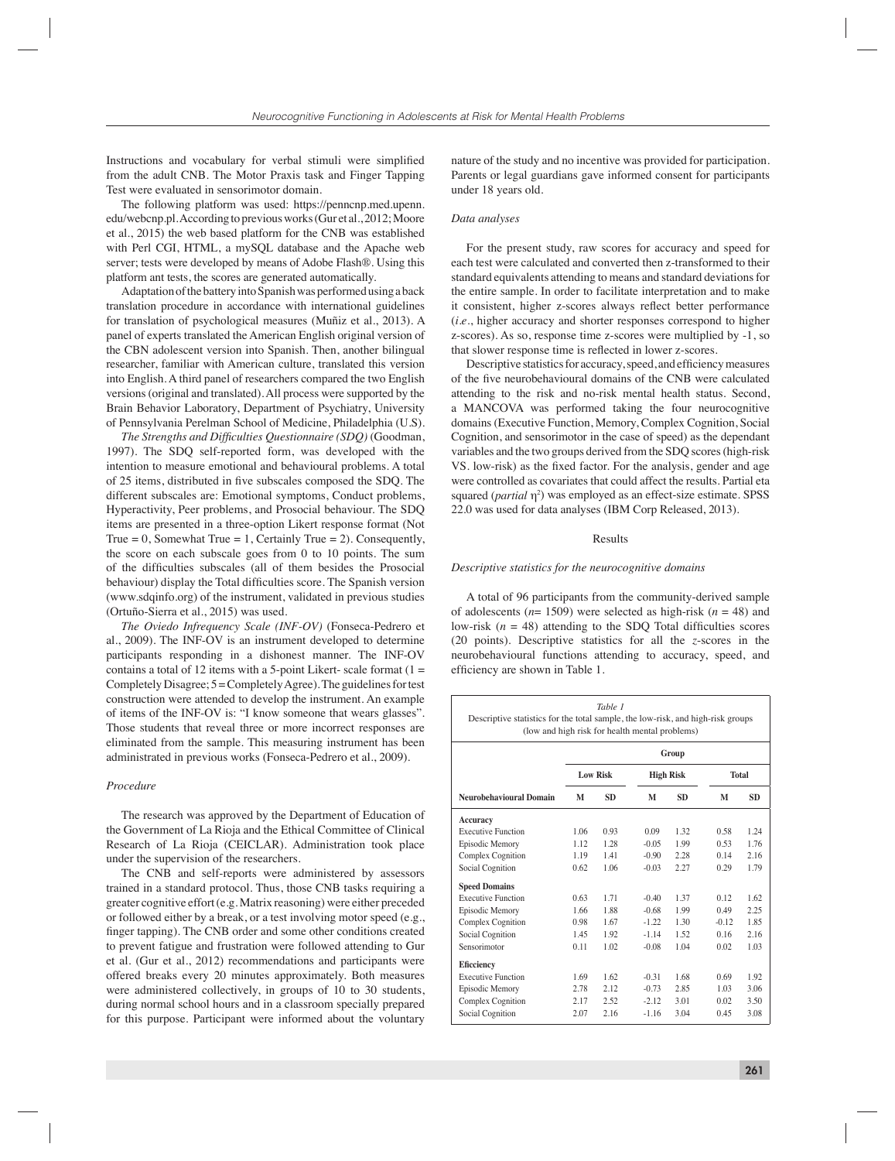Instructions and vocabulary for verbal stimuli were simplified from the adult CNB. The Motor Praxis task and Finger Tapping Test were evaluated in sensorimotor domain.

The following platform was used: https://penncnp.med.upenn. edu/webcnp.pl. According to previous works (Gur et al., 2012; Moore et al., 2015) the web based platform for the CNB was established with Perl CGI, HTML, a mySQL database and the Apache web server; tests were developed by means of Adobe Flash®. Using this platform ant tests, the scores are generated automatically.

Adaptation of the battery into Spanish was performed using a back translation procedure in accordance with international guidelines for translation of psychological measures (Muñiz et al., 2013). A panel of experts translated the American English original version of the CBN adolescent version into Spanish. Then, another bilingual researcher, familiar with American culture, translated this version into English. A third panel of researchers compared the two English versions (original and translated). All process were supported by the Brain Behavior Laboratory, Department of Psychiatry, University of Pennsylvania Perelman School of Medicine, Philadelphia (U.S).

*The Strengths and Difficulties Questionnaire (SDQ)* (Goodman, 1997). The SDQ self-reported form, was developed with the intention to measure emotional and behavioural problems. A total of 25 items, distributed in five subscales composed the SDO. The different subscales are: Emotional symptoms, Conduct problems, Hyperactivity, Peer problems, and Prosocial behaviour. The SDQ items are presented in a three-option Likert response format (Not True = 0, Somewhat True = 1, Certainly True = 2). Consequently, the score on each subscale goes from 0 to 10 points. The sum of the difficulties subscales (all of them besides the Prosocial behaviour) display the Total difficulties score. The Spanish version (www.sdqinfo.org) of the instrument, validated in previous studies (Ortuño-Sierra et al., 2015) was used.

*The Oviedo Infrequency Scale (INF-OV)* (Fonseca-Pedrero et al., 2009). The INF-OV is an instrument developed to determine participants responding in a dishonest manner. The INF-OV contains a total of 12 items with a 5-point Likert- scale format  $(1 =$ Completely Disagree; 5 = Completely Agree). The guidelines for test construction were attended to develop the instrument. An example of items of the INF-OV is: "I know someone that wears glasses". Those students that reveal three or more incorrect responses are eliminated from the sample. This measuring instrument has been administrated in previous works (Fonseca-Pedrero et al., 2009).

# *Procedure*

The research was approved by the Department of Education of the Government of La Rioja and the Ethical Committee of Clinical Research of La Rioja (CEICLAR). Administration took place under the supervision of the researchers.

The CNB and self-reports were administered by assessors trained in a standard protocol. Thus, those CNB tasks requiring a greater cognitive effort (e.g. Matrix reasoning) were either preceded or followed either by a break, or a test involving motor speed (e.g., finger tapping). The CNB order and some other conditions created to prevent fatigue and frustration were followed attending to Gur et al. (Gur et al., 2012) recommendations and participants were offered breaks every 20 minutes approximately. Both measures were administered collectively, in groups of 10 to 30 students, during normal school hours and in a classroom specially prepared for this purpose. Participant were informed about the voluntary

nature of the study and no incentive was provided for participation. Parents or legal guardians gave informed consent for participants under 18 years old.

## *Data analyses*

For the present study, raw scores for accuracy and speed for each test were calculated and converted then z-transformed to their standard equivalents attending to means and standard deviations for the entire sample. In order to facilitate interpretation and to make it consistent, higher z-scores always reflect better performance (*i.e*., higher accuracy and shorter responses correspond to higher z-scores). As so, response time z-scores were multiplied by -1, so that slower response time is reflected in lower z-scores.

Descriptive statistics for accuracy, speed, and efficiency measures of the five neurobehavioural domains of the CNB were calculated attending to the risk and no-risk mental health status. Second, a MANCOVA was performed taking the four neurocognitive domains (Executive Function, Memory, Complex Cognition, Social Cognition, and sensorimotor in the case of speed) as the dependant variables and the two groups derived from the SDQ scores (high-risk VS. low-risk) as the fixed factor. For the analysis, gender and age were controlled as covariates that could affect the results. Partial eta squared (*partial* η<sup>2</sup>) was employed as an effect-size estimate. SPSS 22.0 was used for data analyses (IBM Corp Released, 2013).

# Results

# *Descriptive statistics for the neurocognitive domains*

A total of 96 participants from the community-derived sample of adolescents (*n*= 1509) were selected as high-risk (*n* = 48) and low-risk  $(n = 48)$  attending to the SDQ Total difficulties scores (20 points). Descriptive statistics for all the *z*-scores in the neurobehavioural functions attending to accuracy, speed, and efficiency are shown in Table 1.

| Table 1<br>Descriptive statistics for the total sample, the low-risk, and high-risk groups<br>(low and high risk for health mental problems) |                 |           |                  |           |              |           |  |
|----------------------------------------------------------------------------------------------------------------------------------------------|-----------------|-----------|------------------|-----------|--------------|-----------|--|
|                                                                                                                                              | Group           |           |                  |           |              |           |  |
|                                                                                                                                              | <b>Low Risk</b> |           | <b>High Risk</b> |           | <b>Total</b> |           |  |
| Neurobehavioural Domain                                                                                                                      | M               | <b>SD</b> | М                | <b>SD</b> | M            | <b>SD</b> |  |
| Accuracy                                                                                                                                     |                 |           |                  |           |              |           |  |
| <b>Executive Function</b>                                                                                                                    | 1.06            | 0.93      | 0.09             | 1 32      | 0.58         | 1.24      |  |
| Episodic Memory                                                                                                                              | 1.12            | 1.28      | $-0.05$          | 1.99      | 0.53         | 176       |  |
| Complex Cognition                                                                                                                            | 1.19            | 141       | $-0.90$          | 2.28      | 0.14         | 2.16      |  |
| Social Cognition                                                                                                                             | 0.62            | 1.06      | $-0.03$          | 2.27      | 0.29         | 1.79      |  |
| <b>Speed Domains</b>                                                                                                                         |                 |           |                  |           |              |           |  |
| <b>Executive Function</b>                                                                                                                    | 0.63            | 171       | $-0.40$          | 1 37      | 012          | 1.62      |  |
| Episodic Memory                                                                                                                              | 1.66            | 188       | $-0.68$          | 1.99      | 0.49         | 2.25      |  |
| Complex Cognition                                                                                                                            | 0.98            | 1.67      | $-1.22$          | 1 30      | $-0.12$      | 1.85      |  |
| Social Cognition                                                                                                                             | 1.45            | 1.92      | $-1.14$          | 1.52      | 0.16         | 2.16      |  |
| Sensorimotor                                                                                                                                 | 0.11            | 1.02      | $-0.08$          | 1.04      | 0.02         | 1.03      |  |
| <b>Eficciency</b>                                                                                                                            |                 |           |                  |           |              |           |  |
| <b>Executive Function</b>                                                                                                                    | 1.69            | 1.62      | $-0.31$          | 1.68      | 0.69         | 1.92      |  |
| Episodic Memory                                                                                                                              | 2.78            | 2.12      | $-0.73$          | 2.85      | 1.03         | 3.06      |  |
| Complex Cognition                                                                                                                            | 2.17            | 2.52      | $-2.12$          | 3.01      | 0.02         | 3.50      |  |
| Social Cognition                                                                                                                             | 2.07            | 2.16      | $-1.16$          | 3.04      | 0.45         | 3.08      |  |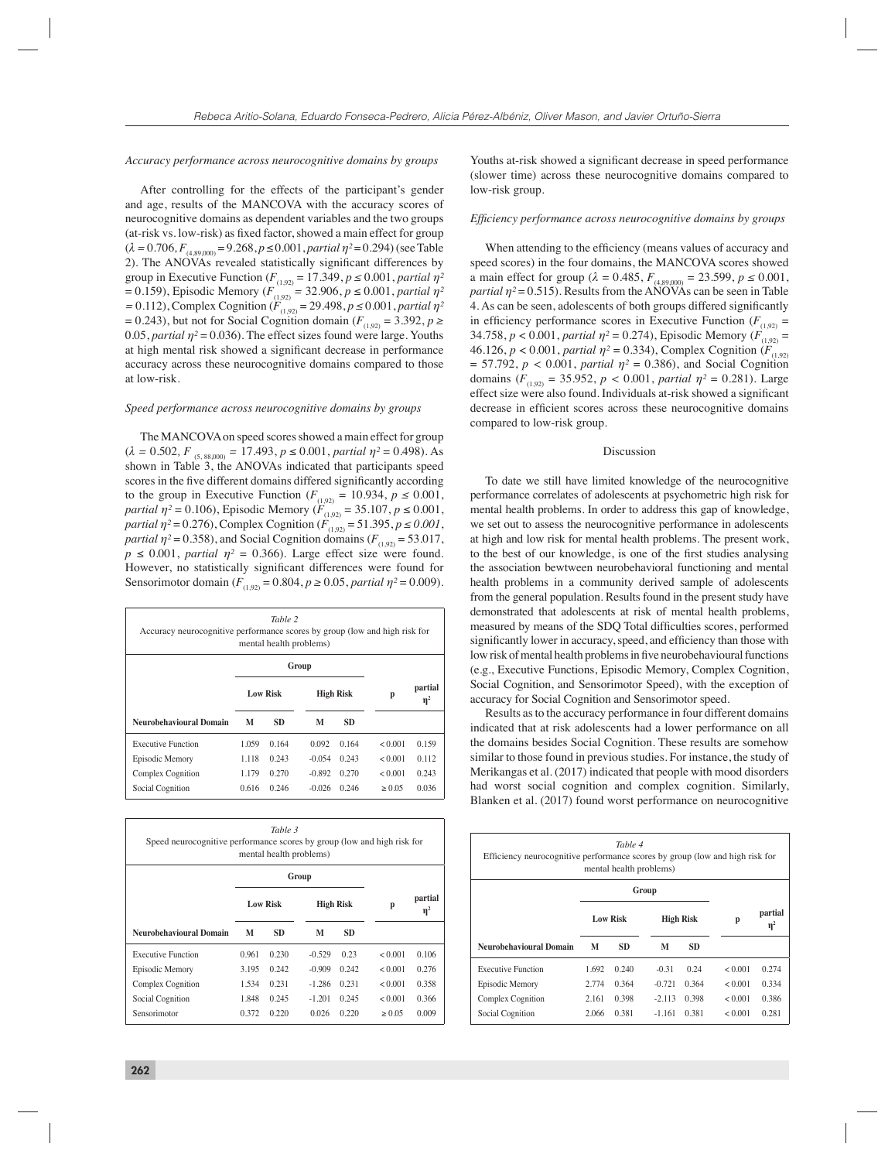# *Accuracy performance across neurocognitive domains by groups*

After controlling for the effects of the participant's gender and age, results of the MANCOVA with the accuracy scores of neurocognitive domains as dependent variables and the two groups (at-risk vs. low-risk) as fixed factor, showed a main effect for group  $(\lambda = 0.706, F_{(4.89,000)} = 9.268, p \le 0.001, partial \eta^2 = 0.294)$  (see Table 2). The ANOVAs revealed statistically significant differences by group in Executive Function ( $F_{(1,92)} = 17.349$ ,  $p \le 0.001$ , *partial*  $\eta^2$  $= 0.159$ ), Episodic Memory ( $F_{(1,92)}^{(1,92)} = 32.906$ ,  $p \le 0.001$ , partial  $\eta^2$  $= 0.112$ ), Complex Cognition ( $F_{(1,92)} = 29.498$ ,  $p \le 0.001$ , *partial*  $\eta^2$  $= 0.243$ ), but not for Social Cognition domain ( $F_{(1,92)} = 3.392$ ,  $p \ge 0.243$ ) 0.05, *partial*  $\eta$ <sup>2</sup> = 0.036). The effect sizes found were large. Youths at high mental risk showed a significant decrease in performance accuracy across these neurocognitive domains compared to those at low-risk.

# *Speed performance across neurocognitive domains by groups*

The MANCOVA on speed scores showed a main effect for group  $(\lambda = 0.502, F_{(5, 88,000)} = 17.493, p \le 0.001, partial \eta^2 = 0.498$ . As shown in Table 3, the ANOVAs indicated that participants speed scores in the five different domains differed significantly according to the group in Executive Function ( $F_{(1,92)} = 10.934$ ,  $p \le 0.001$ , *partial*  $\eta^2 = 0.106$ , Episodic Memory ( $F_{(1,92)} = 35.107$ ,  $p \le 0.001$ , *partial*  $\eta^2 = 0.276$ ), Complex Cognition ( $F_{(1,92)} = 51.395$ ,  $p \le 0.001$ , *partial*  $\eta$ <sup>2</sup> = 0.358), and Social Cognition domains ( $F_{(1,92)}$  = 53.017,  $p \le 0.001$ , *partial*  $\eta^2 = 0.366$ ). Large effect size were found. However, no statistically significant differences were found for Sensorimotor domain ( $F_{(1,92)} = 0.804$ ,  $p \ge 0.05$ , *partial*  $\eta^2 = 0.009$ ).

| Table 2<br>Accuracy neurocognitive performance scores by group (low and high risk for<br>mental health problems) |                 |           |                  |           |         |                     |  |
|------------------------------------------------------------------------------------------------------------------|-----------------|-----------|------------------|-----------|---------|---------------------|--|
|                                                                                                                  |                 | Group     |                  |           |         |                     |  |
|                                                                                                                  | <b>Low Risk</b> |           | <b>High Risk</b> |           | p       | partial<br>$\eta^2$ |  |
| Neurobehavioural Domain                                                                                          | M               | <b>SD</b> | M                | <b>SD</b> |         |                     |  |
| <b>Executive Function</b>                                                                                        | 1.059           | 0.164     | 0.092            | 0.164     | < 0.001 | 0.159               |  |
| Episodic Memory                                                                                                  | 1.118           | 0.243     | $-0.054$         | 0.243     | < 0.001 | 0.112               |  |
| Complex Cognition                                                                                                | 1.179           | 0.270     | $-0.892$         | 0.270     | < 0.001 | 0.243               |  |
| Social Cognition                                                                                                 | 0.616           | 0.246     | $-0.026$         | 0.246     | > 0.05  | 0.036               |  |

| Table 3<br>Speed neurocognitive performance scores by group (low and high risk for<br>mental health problems) |                 |           |                  |           |         |                     |  |  |
|---------------------------------------------------------------------------------------------------------------|-----------------|-----------|------------------|-----------|---------|---------------------|--|--|
|                                                                                                               | Group           |           |                  |           |         |                     |  |  |
|                                                                                                               | <b>Low Risk</b> |           | <b>High Risk</b> |           | p       | partial<br>$\eta^2$ |  |  |
| Neurobehavioural Domain                                                                                       | M               | <b>SD</b> | M                | <b>SD</b> |         |                     |  |  |
| <b>Executive Function</b>                                                                                     | 0.961           | 0.230     | $-0.529$         | 0.23      | < 0.001 | 0.106               |  |  |
| Episodic Memory                                                                                               | 3.195           | 0.242     | $-0.909$         | 0.242     | < 0.001 | 0.276               |  |  |
| Complex Cognition                                                                                             | 1.534           | 0.231     | $-1.286$         | 0.231     | < 0.001 | 0.358               |  |  |
| Social Cognition                                                                                              | 1.848           | 0.245     | $-1.201$         | 0.245     | < 0.001 | 0.366               |  |  |
| Sensorimotor                                                                                                  | 0.372           | 0.220     | 0.026            | 0.220     | > 0.05  | 0.009               |  |  |

Youths at-risk showed a significant decrease in speed performance (slower time) across these neurocognitive domains compared to low-risk group.

#### *Effi ciency performance across neurocognitive domains by groups*

When attending to the efficiency (means values of accuracy and speed scores) in the four domains, the MANCOVA scores showed a main effect for group ( $\lambda = 0.485$ ,  $F_{(4,89,000)} = 23.599$ ,  $p \le 0.001$ , *partial*  $\eta$ <sup>2</sup> = 0.515). Results from the ANOVAs can be seen in Table 4. As can be seen, adolescents of both groups differed significantly in efficiency performance scores in Executive Function  $(F_{(1,92)})$ 34.758,  $p < 0.001$ , *partial*  $\eta^2 = 0.274$ ), Episodic Memory ( $\hat{F}_{(1,92)} =$ 46.126,  $p < 0.001$ , *partial*  $\eta^2 = 0.334$ ), Complex Cognition  $\overline{F_{(1,92)}}$  $= 57.792, p < 0.001, partial \eta^2 = 0.386$ , and Social Cognition domains ( $F_{(1,92)} = 35.952$ ,  $p < 0.001$ , *partial*  $\eta^2 = 0.281$ ). Large effect size were also found. Individuals at-risk showed a significant decrease in efficient scores across these neurocognitive domains compared to low-risk group.

#### Discussion

To date we still have limited knowledge of the neurocognitive performance correlates of adolescents at psychometric high risk for mental health problems. In order to address this gap of knowledge, we set out to assess the neurocognitive performance in adolescents at high and low risk for mental health problems. The present work, to the best of our knowledge, is one of the first studies analysing the association bewtween neurobehavioral functioning and mental health problems in a community derived sample of adolescents from the general population. Results found in the present study have demonstrated that adolescents at risk of mental health problems, measured by means of the SDQ Total difficulties scores, performed significantly lower in accuracy, speed, and efficiency than those with low risk of mental health problems in five neurobehavioural functions (e.g., Executive Functions, Episodic Memory, Complex Cognition, Social Cognition, and Sensorimotor Speed), with the exception of accuracy for Social Cognition and Sensorimotor speed.

Results as to the accuracy performance in four different domains indicated that at risk adolescents had a lower performance on all the domains besides Social Cognition. These results are somehow similar to those found in previous studies. For instance, the study of Merikangas et al. (2017) indicated that people with mood disorders had worst social cognition and complex cognition. Similarly, Blanken et al. (2017) found worst performance on neurocognitive

| Table 4<br>Efficiency neurocognitive performance scores by group (low and high risk for<br>mental health problems) |                 |           |                  |           |         |                     |  |  |
|--------------------------------------------------------------------------------------------------------------------|-----------------|-----------|------------------|-----------|---------|---------------------|--|--|
|                                                                                                                    | Group           |           |                  |           |         |                     |  |  |
|                                                                                                                    | <b>Low Risk</b> |           | <b>High Risk</b> |           | p       | partial<br>$\eta^2$ |  |  |
| Neurobehavioural Domain                                                                                            | M               | <b>SD</b> | М                | <b>SD</b> |         |                     |  |  |
| Executive Function                                                                                                 | 1.692           | 0.240     | $-0.31$          | 0.24      | < 0.001 | 0.274               |  |  |
| Episodic Memory                                                                                                    | 2.774           | 0.364     | $-0.721$         | 0.364     | < 0.001 | 0.334               |  |  |
| Complex Cognition                                                                                                  | 2.161           | 0.398     | $-2.113$         | 0 398     | < 0.001 | 0.386               |  |  |
| Social Cognition                                                                                                   | 2.066           | 0.381     | $-1.161$         | 0.381     | < 0.001 | 0.281               |  |  |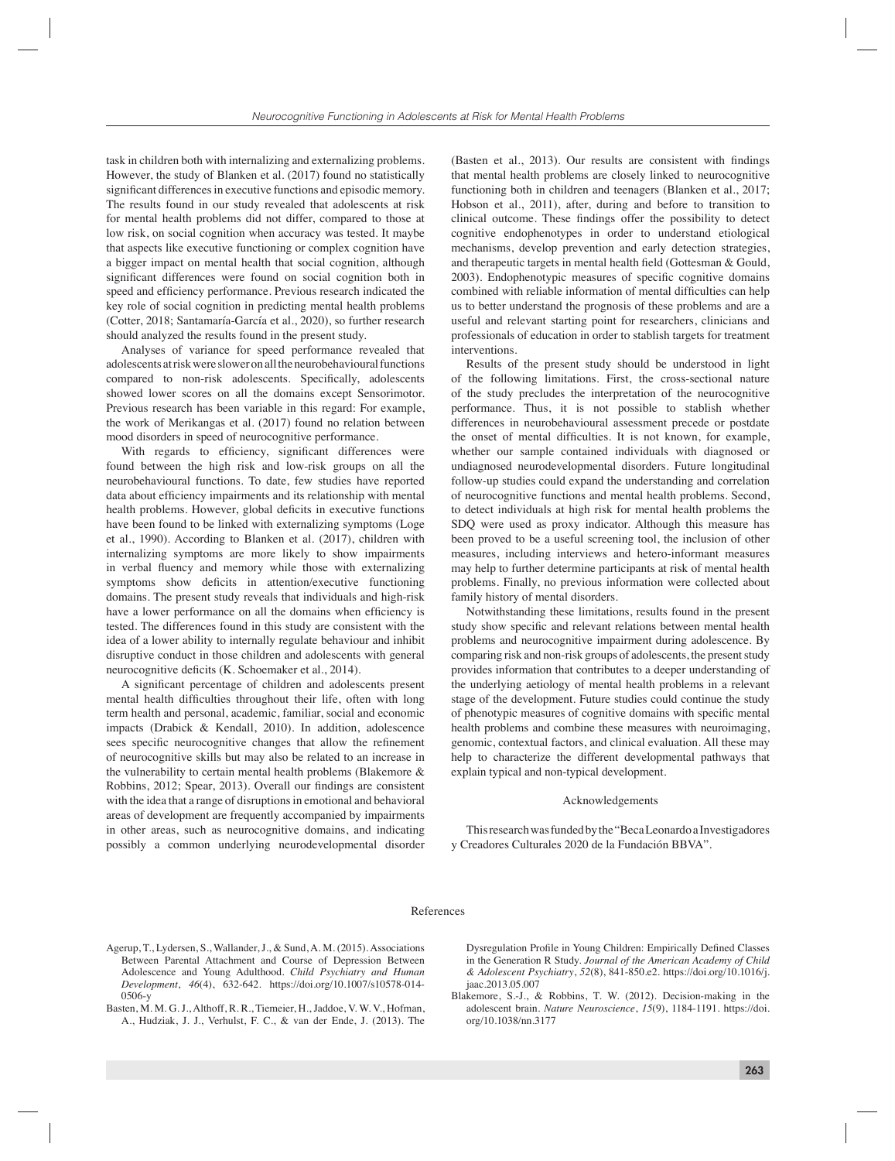task in children both with internalizing and externalizing problems. However, the study of Blanken et al. (2017) found no statistically significant differences in executive functions and episodic memory. The results found in our study revealed that adolescents at risk for mental health problems did not differ, compared to those at low risk, on social cognition when accuracy was tested. It maybe that aspects like executive functioning or complex cognition have a bigger impact on mental health that social cognition, although significant differences were found on social cognition both in speed and efficiency performance. Previous research indicated the key role of social cognition in predicting mental health problems (Cotter, 2018; Santamaría-García et al., 2020), so further research should analyzed the results found in the present study.

Analyses of variance for speed performance revealed that adolescents at risk were slower on all the neurobehavioural functions compared to non-risk adolescents. Specifically, adolescents showed lower scores on all the domains except Sensorimotor. Previous research has been variable in this regard: For example, the work of Merikangas et al. (2017) found no relation between mood disorders in speed of neurocognitive performance.

With regards to efficiency, significant differences were found between the high risk and low-risk groups on all the neurobehavioural functions. To date, few studies have reported data about efficiency impairments and its relationship with mental health problems. However, global deficits in executive functions have been found to be linked with externalizing symptoms (Loge et al., 1990). According to Blanken et al. (2017), children with internalizing symptoms are more likely to show impairments in verbal fluency and memory while those with externalizing symptoms show deficits in attention/executive functioning domains. The present study reveals that individuals and high-risk have a lower performance on all the domains when efficiency is tested. The differences found in this study are consistent with the idea of a lower ability to internally regulate behaviour and inhibit disruptive conduct in those children and adolescents with general neurocognitive deficits (K. Schoemaker et al., 2014).

A significant percentage of children and adolescents present mental health difficulties throughout their life, often with long term health and personal, academic, familiar, social and economic impacts (Drabick & Kendall, 2010). In addition, adolescence sees specific neurocognitive changes that allow the refinement of neurocognitive skills but may also be related to an increase in the vulnerability to certain mental health problems (Blakemore & Robbins, 2012; Spear, 2013). Overall our findings are consistent with the idea that a range of disruptions in emotional and behavioral areas of development are frequently accompanied by impairments in other areas, such as neurocognitive domains, and indicating possibly a common underlying neurodevelopmental disorder

(Basten et al., 2013). Our results are consistent with findings that mental health problems are closely linked to neurocognitive functioning both in children and teenagers (Blanken et al., 2017; Hobson et al., 2011), after, during and before to transition to clinical outcome. These findings offer the possibility to detect cognitive endophenotypes in order to understand etiological mechanisms, develop prevention and early detection strategies, and therapeutic targets in mental health field (Gottesman  $\&$  Gould, 2003). Endophenotypic measures of specific cognitive domains combined with reliable information of mental difficulties can help us to better understand the prognosis of these problems and are a useful and relevant starting point for researchers, clinicians and professionals of education in order to stablish targets for treatment interventions.

Results of the present study should be understood in light of the following limitations. First, the cross-sectional nature of the study precludes the interpretation of the neurocognitive performance. Thus, it is not possible to stablish whether differences in neurobehavioural assessment precede or postdate the onset of mental difficulties. It is not known, for example, whether our sample contained individuals with diagnosed or undiagnosed neurodevelopmental disorders. Future longitudinal follow-up studies could expand the understanding and correlation of neurocognitive functions and mental health problems. Second, to detect individuals at high risk for mental health problems the SDQ were used as proxy indicator. Although this measure has been proved to be a useful screening tool, the inclusion of other measures, including interviews and hetero-informant measures may help to further determine participants at risk of mental health problems. Finally, no previous information were collected about family history of mental disorders.

Notwithstanding these limitations, results found in the present study show specific and relevant relations between mental health problems and neurocognitive impairment during adolescence. By comparing risk and non-risk groups of adolescents, the present study provides information that contributes to a deeper understanding of the underlying aetiology of mental health problems in a relevant stage of the development. Future studies could continue the study of phenotypic measures of cognitive domains with specific mental health problems and combine these measures with neuroimaging, genomic, contextual factors, and clinical evaluation. All these may help to characterize the different developmental pathways that explain typical and non-typical development.

# Acknowledgements

This research was funded by the "Beca Leonardo a Investigadores y Creadores Culturales 2020 de la Fundación BBVA".

## References

- Agerup, T., Lydersen, S., Wallander, J., & Sund, A. M. (2015). Associations Between Parental Attachment and Course of Depression Between Adolescence and Young Adulthood. *Child Psychiatry and Human Development*, *46*(4), 632-642. https://doi.org/10.1007/s10578-014- 0506-y
- Basten, M. M. G. J., Althoff, R. R., Tiemeier, H., Jaddoe, V. W. V., Hofman, A., Hudziak, J. J., Verhulst, F. C., & van der Ende, J. (2013). The

Dysregulation Profile in Young Children: Empirically Defined Classes in the Generation R Study. *Journal of the American Academy of Child & Adolescent Psychiatry*, *52*(8), 841-850.e2. https://doi.org/10.1016/j. jaac.2013.05.007

Blakemore, S.-J., & Robbins, T. W. (2012). Decision-making in the adolescent brain. *Nature Neuroscience*, *15*(9), 1184-1191. https://doi. org/10.1038/nn.3177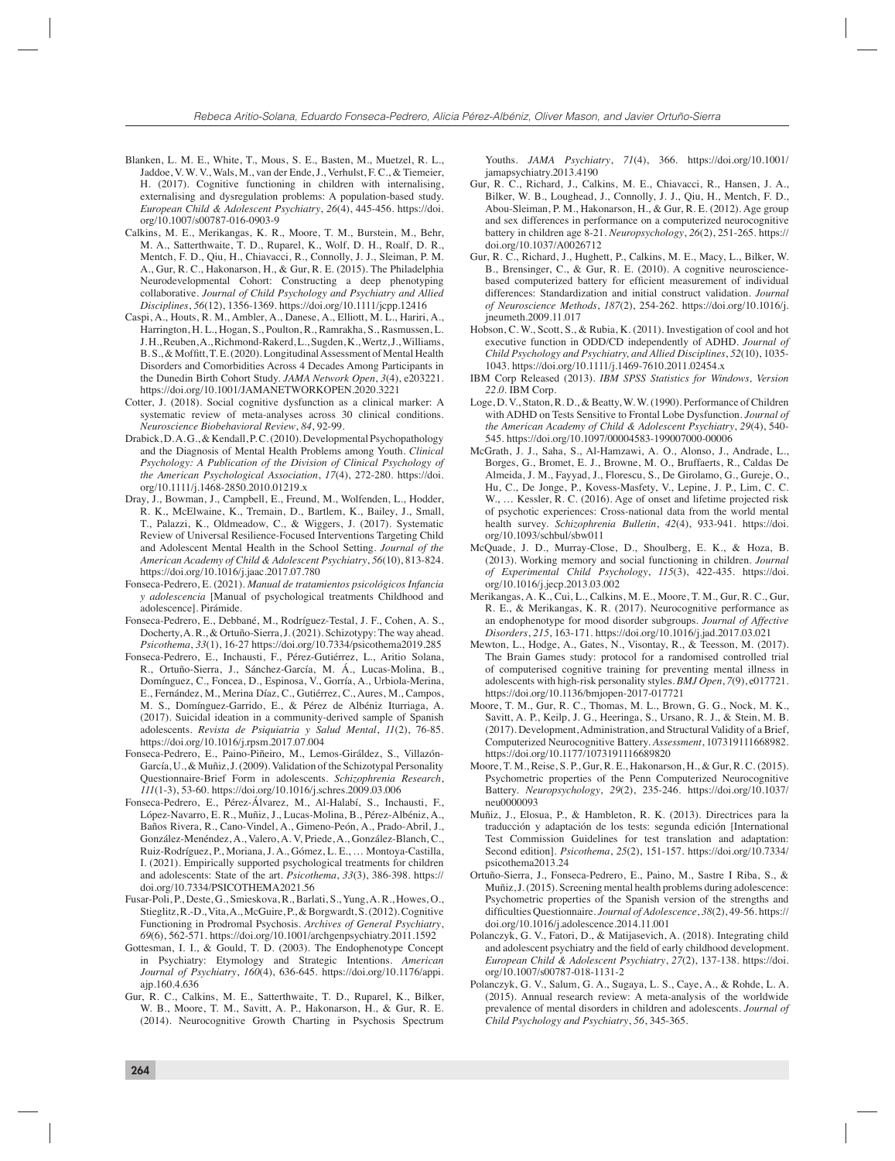- Blanken, L. M. E., White, T., Mous, S. E., Basten, M., Muetzel, R. L., Jaddoe, V. W. V., Wals, M., van der Ende, J., Verhulst, F. C., & Tiemeier, H. (2017). Cognitive functioning in children with internalising, externalising and dysregulation problems: A population-based study. *European Child & Adolescent Psychiatry*, *26*(4), 445-456. https://doi. org/10.1007/s00787-016-0903-9
- Calkins, M. E., Merikangas, K. R., Moore, T. M., Burstein, M., Behr, M. A., Satterthwaite, T. D., Ruparel, K., Wolf, D. H., Roalf, D. R., Mentch, F. D., Qiu, H., Chiavacci, R., Connolly, J. J., Sleiman, P. M. A., Gur, R. C., Hakonarson, H., & Gur, R. E. (2015). The Philadelphia Neurodevelopmental Cohort: Constructing a deep phenotyping collaborative. *Journal of Child Psychology and Psychiatry and Allied Disciplines*, *56*(12), 1356-1369. https://doi.org/10.1111/jcpp.12416
- Caspi, A., Houts, R. M., Ambler, A., Danese, A., Elliott, M. L., Hariri, A., Harrington, H. L., Hogan, S., Poulton, R., Ramrakha, S., Rasmussen, L. J. H., Reuben, A., Richmond-Rakerd, L., Sugden, K., Wertz, J., Williams, B. S., & Moffitt, T. E. (2020). Longitudinal Assessment of Mental Health Disorders and Comorbidities Across 4 Decades Among Participants in the Dunedin Birth Cohort Study. *JAMA Network Open*, *3*(4), e203221. https://doi.org/10.1001/JAMANETWORKOPEN.2020.3221
- Cotter, J. (2018). Social cognitive dysfunction as a clinical marker: A systematic review of meta-analyses across 30 clinical conditions. *Neuroscience Biobehavioral Review*, *84*, 92-99.
- Drabick, D. A. G., & Kendall, P. C. (2010). Developmental Psychopathology and the Diagnosis of Mental Health Problems among Youth. *Clinical Psychology: A Publication of the Division of Clinical Psychology of the American Psychological Association*, *17*(4), 272-280. https://doi. org/10.1111/j.1468-2850.2010.01219.x
- Dray, J., Bowman, J., Campbell, E., Freund, M., Wolfenden, L., Hodder, R. K., McElwaine, K., Tremain, D., Bartlem, K., Bailey, J., Small, T., Palazzi, K., Oldmeadow, C., & Wiggers, J. (2017). Systematic Review of Universal Resilience-Focused Interventions Targeting Child and Adolescent Mental Health in the School Setting. *Journal of the American Academy of Child & Adolescent Psychiatry*, *56*(10), 813-824. https://doi.org/10.1016/j.jaac.2017.07.780
- Fonseca-Pedrero, E. (2021). *Manual de tratamientos psicológicos Infancia y adolescencia* [Manual of psychological treatments Childhood and adolescence]. Pirámide.
- Fonseca-Pedrero, E., Debbané, M., Rodríguez-Testal, J. F., Cohen, A. S., Docherty, A. R., & Ortuño-Sierra, J. (2021). Schizotypy: The way ahead. *Psicothema*, *33*(1), 16-27 https://doi.org/10.7334/psicothema2019.285
- Fonseca-Pedrero, E., Inchausti, F., Pérez-Gutiérrez, L., Aritio Solana, R., Ortuño-Sierra, J., Sánchez-García, M. Á., Lucas-Molina, B., Domínguez, C., Foncea, D., Espinosa, V., Gorría, A., Urbiola-Merina, E., Fernández, M., Merina Díaz, C., Gutiérrez, C., Aures, M., Campos, M. S., Domínguez-Garrido, E., & Pérez de Albéniz Iturriaga, A. (2017). Suicidal ideation in a community-derived sample of Spanish adolescents. *Revista de Psiquiatria y Salud Mental*, *11*(2), 76-85. https://doi.org/10.1016/j.rpsm.2017.07.004
- Fonseca-Pedrero, E., Paino-Piñeiro, M., Lemos-Giráldez, S., Villazón-García, U., & Muñiz, J. (2009). Validation of the Schizotypal Personality Questionnaire-Brief Form in adolescents. *Schizophrenia Research*, *111*(1-3), 53-60. https://doi.org/10.1016/j.schres.2009.03.006
- Fonseca-Pedrero, E., Pérez-Álvarez, M., Al-Halabí, S., Inchausti, F., López-Navarro, E. R., Muñiz, J., Lucas-Molina, B., Pérez-Albéniz, A., Baños Rivera, R., Cano-Vindel, A., Gimeno-Peón, A., Prado-Abril, J., González-Menéndez, A., Valero, A. V, Priede, A., González-Blanch, C., Ruiz-Rodríguez, P., Moriana, J. A., Gómez, L. E., … Montoya-Castilla, I. (2021). Empirically supported psychological treatments for children and adolescents: State of the art. *Psicothema*, *33*(3), 386-398. https:// doi.org/10.7334/PSICOTHEMA2021.56
- Fusar-Poli, P., Deste, G., Smieskova, R., Barlati, S., Yung, A. R., Howes, O., Stieglitz, R.-D., Vita, A., McGuire, P., & Borgwardt, S. (2012). Cognitive Functioning in Prodromal Psychosis. *Archives of General Psychiatry*, *69*(6), 562-571. https://doi.org/10.1001/archgenpsychiatry.2011.1592
- Gottesman, I. I., & Gould, T. D. (2003). The Endophenotype Concept in Psychiatry: Etymology and Strategic Intentions. *American Journal of Psychiatry*, *160*(4), 636-645. https://doi.org/10.1176/appi. ajp.160.4.636
- Gur, R. C., Calkins, M. E., Satterthwaite, T. D., Ruparel, K., Bilker, W. B., Moore, T. M., Savitt, A. P., Hakonarson, H., & Gur, R. E. (2014). Neurocognitive Growth Charting in Psychosis Spectrum

Youths. *JAMA Psychiatry*, *71*(4), 366. https://doi.org/10.1001/ jamapsychiatry.2013.4190

- Gur, R. C., Richard, J., Calkins, M. E., Chiavacci, R., Hansen, J. A., Bilker, W. B., Loughead, J., Connolly, J. J., Qiu, H., Mentch, F. D., Abou-Sleiman, P. M., Hakonarson, H., & Gur, R. E. (2012). Age group and sex differences in performance on a computerized neurocognitive battery in children age 8-21. *Neuropsychology*, *26*(2), 251-265. https:// doi.org/10.1037/A0026712
- Gur, R. C., Richard, J., Hughett, P., Calkins, M. E., Macy, L., Bilker, W. B., Brensinger, C., & Gur, R. E. (2010). A cognitive neurosciencebased computerized battery for efficient measurement of individual differences: Standardization and initial construct validation. *Journal of Neuroscience Methods*, *187*(2), 254-262. https://doi.org/10.1016/j. jneumeth.2009.11.017
- Hobson, C. W., Scott, S., & Rubia, K. (2011). Investigation of cool and hot executive function in ODD/CD independently of ADHD. *Journal of Child Psychology and Psychiatry, and Allied Disciplines*, *52*(10), 1035- 1043. https://doi.org/10.1111/j.1469-7610.2011.02454.x
- IBM Corp Released (2013). *IBM SPSS Statistics for Windows, Version 22.0*. IBM Corp.
- Loge, D. V., Staton, R. D., & Beatty, W. W. (1990). Performance of Children with ADHD on Tests Sensitive to Frontal Lobe Dysfunction. *Journal of the American Academy of Child & Adolescent Psychiatry*, *29*(4), 540- 545. https://doi.org/10.1097/00004583-199007000-00006
- McGrath, J. J., Saha, S., Al-Hamzawi, A. O., Alonso, J., Andrade, L., Borges, G., Bromet, E. J., Browne, M. O., Bruffaerts, R., Caldas De Almeida, J. M., Fayyad, J., Florescu, S., De Girolamo, G., Gureje, O., Hu, C., De Jonge, P., Kovess-Masfety, V., Lepine, J. P., Lim, C. C. W., … Kessler, R. C. (2016). Age of onset and lifetime projected risk of psychotic experiences: Cross-national data from the world mental health survey. *Schizophrenia Bulletin*, *42*(4), 933-941. https://doi. org/10.1093/schbul/sbw011
- McQuade, J. D., Murray-Close, D., Shoulberg, E. K., & Hoza, B. (2013). Working memory and social functioning in children. *Journal of Experimental Child Psychology*, *115*(3), 422-435. https://doi. org/10.1016/j.jecp.2013.03.002
- Merikangas, A. K., Cui, L., Calkins, M. E., Moore, T. M., Gur, R. C., Gur, R. E., & Merikangas, K. R. (2017). Neurocognitive performance as an endophenotype for mood disorder subgroups. *Journal of Affective Disorders*, *215*, 163-171. https://doi.org/10.1016/j.jad.2017.03.021
- Mewton, L., Hodge, A., Gates, N., Visontay, R., & Teesson, M. (2017). The Brain Games study: protocol for a randomised controlled trial of computerised cognitive training for preventing mental illness in adolescents with high-risk personality styles. *BMJ Open*, *7*(9), e017721. https://doi.org/10.1136/bmjopen-2017-017721
- Moore, T. M., Gur, R. C., Thomas, M. L., Brown, G. G., Nock, M. K., Savitt, A. P., Keilp, J. G., Heeringa, S., Ursano, R. J., & Stein, M. B. (2017). Development, Administration, and Structural Validity of a Brief, Computerized Neurocognitive Battery. *Assessment*, 107319111668982. https://doi.org/10.1177/1073191116689820
- Moore, T. M., Reise, S. P., Gur, R. E., Hakonarson, H., & Gur, R. C. (2015). Psychometric properties of the Penn Computerized Neurocognitive Battery. *Neuropsychology*, *29*(2), 235-246. https://doi.org/10.1037/ neu0000093
- Muñiz, J., Elosua, P., & Hambleton, R. K. (2013). Directrices para la traducción y adaptación de los tests: segunda edición [International Test Commission Guidelines for test translation and adaptation: Second edition]. *Psicothema*, *25*(2), 151-157. https://doi.org/10.7334/ psicothema2013.24
- Ortuño-Sierra, J., Fonseca-Pedrero, E., Paino, M., Sastre I Riba, S., & Muñiz, J. (2015). Screening mental health problems during adolescence: Psychometric properties of the Spanish version of the strengths and difficulties Questionnaire. *Journal of Adolescence*,  $38(2)$ , 49-56. https:// doi.org/10.1016/j.adolescence.2014.11.001
- Polanczyk, G. V., Fatori, D., & Matijasevich, A. (2018). Integrating child and adolescent psychiatry and the field of early childhood development. *European Child & Adolescent Psychiatry*, *27*(2), 137-138. https://doi. org/10.1007/s00787-018-1131-2
- Polanczyk, G. V., Salum, G. A., Sugaya, L. S., Caye, A., & Rohde, L. A. (2015). Annual research review: A meta-analysis of the worldwide prevalence of mental disorders in children and adolescents. *Journal of Child Psychology and Psychiatry*, *56*, 345-365.